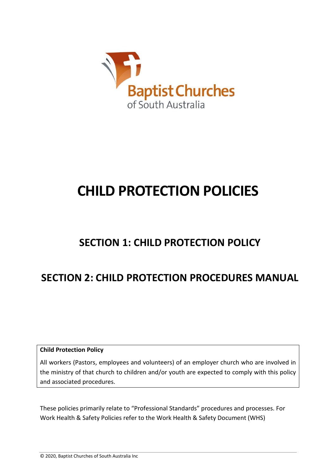

# **CHILD PROTECTION POLICIES**

## **SECTION 1: CHILD PROTECTION POLICY**

# **SECTION 2: CHILD PROTECTION PROCEDURES MANUAL**

**Child Protection Policy**

All workers (Pastors, employees and volunteers) of an employer church who are involved in the ministry of that church to children and/or youth are expected to comply with this policy and associated procedures.

These policies primarily relate to "Professional Standards" procedures and processes. For Work Health & Safety Policies refer to the Work Health & Safety Document (WHS)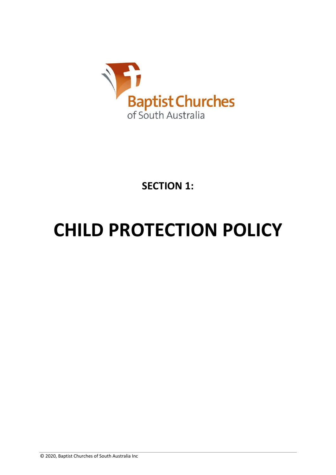

**SECTION 1:** 

# **CHILD PROTECTION POLICY**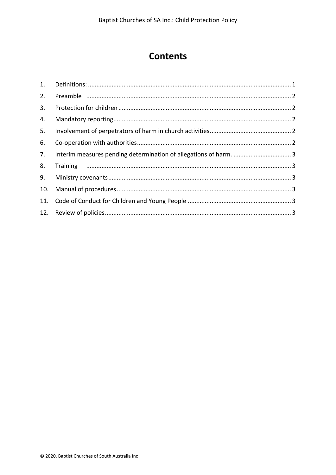## **Contents**

| 2.  |                                                                  |  |
|-----|------------------------------------------------------------------|--|
| 3.  |                                                                  |  |
| 4.  |                                                                  |  |
| 5.  |                                                                  |  |
| 6.  |                                                                  |  |
| 7.  | Interim measures pending determination of allegations of harm. 3 |  |
| 8.  |                                                                  |  |
| 9.  |                                                                  |  |
| 10. |                                                                  |  |
|     |                                                                  |  |
|     |                                                                  |  |
|     |                                                                  |  |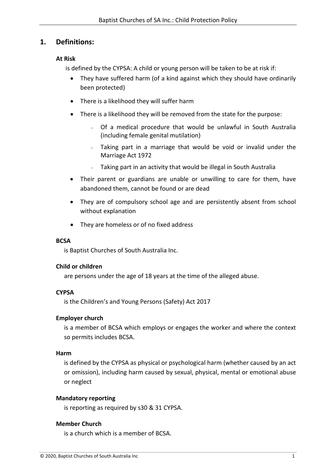#### <span id="page-3-0"></span>**1. Definitions:**

#### **At Risk**

is defined by the CYPSA: A child or young person will be taken to be at risk if:

- They have suffered harm (of a kind against which they should have ordinarily been protected)
- There is a likelihood they will suffer harm
- There is a likelihood they will be removed from the state for the purpose:
	- <sup>−</sup> Of a medical procedure that would be unlawful in South Australia (including female genital mutilation)
	- Taking part in a marriage that would be void or invalid under the Marriage Act 1972
	- <sup>−</sup> Taking part in an activity that would be illegal in South Australia
- Their parent or guardians are unable or unwilling to care for them, have abandoned them, cannot be found or are dead
- They are of compulsory school age and are persistently absent from school without explanation
- They are homeless or of no fixed address

#### **BCSA**

is Baptist Churches of South Australia Inc.

#### **Child or children**

are persons under the age of 18 years at the time of the alleged abuse.

#### **CYPSA**

is the Children's and Young Persons (Safety) Act 2017

#### **Employer church**

is a member of BCSA which employs or engages the worker and where the context so permits includes BCSA.

#### **Harm**

is defined by the CYPSA as physical or psychological harm (whether caused by an act or omission), including harm caused by sexual, physical, mental or emotional abuse or neglect

#### **Mandatory reporting**

is reporting as required by s30 & 31 CYPSA.

#### **Member Church**

is a church which is a member of BCSA.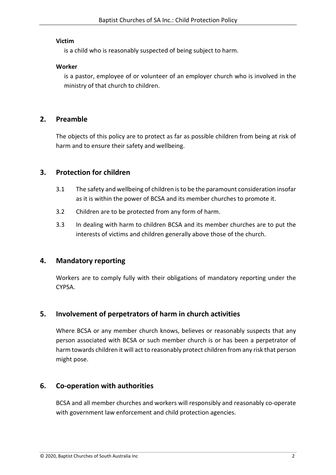#### **Victim**

is a child who is reasonably suspected of being subject to harm.

#### **Worker**

is a pastor, employee of or volunteer of an employer church who is involved in the ministry of that church to children.

#### <span id="page-4-0"></span>**2. Preamble**

The objects of this policy are to protect as far as possible children from being at risk of harm and to ensure their safety and wellbeing.

#### <span id="page-4-1"></span>**3. Protection for children**

- 3.1 The safety and wellbeing of children is to be the paramount consideration insofar as it is within the power of BCSA and its member churches to promote it.
- 3.2 Children are to be protected from any form of harm.
- 3.3 In dealing with harm to children BCSA and its member churches are to put the interests of victims and children generally above those of the church.

#### <span id="page-4-2"></span>**4. Mandatory reporting**

Workers are to comply fully with their obligations of mandatory reporting under the CYPSA.

## <span id="page-4-3"></span>**5. Involvement of perpetrators of harm in church activities**

Where BCSA or any member church knows, believes or reasonably suspects that any person associated with BCSA or such member church is or has been a perpetrator of harm towards children it will act to reasonably protect children from any risk that person might pose.

## <span id="page-4-4"></span>**6. Co-operation with authorities**

BCSA and all member churches and workers will responsibly and reasonably co-operate with government law enforcement and child protection agencies.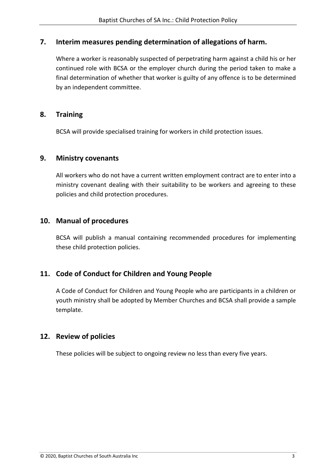#### <span id="page-5-0"></span>**7. Interim measures pending determination of allegations of harm.**

Where a worker is reasonably suspected of perpetrating harm against a child his or her continued role with BCSA or the employer church during the period taken to make a final determination of whether that worker is guilty of any offence is to be determined by an independent committee.

#### <span id="page-5-1"></span>**8. Training**

BCSA will provide specialised training for workers in child protection issues.

#### <span id="page-5-2"></span>**9. Ministry covenants**

All workers who do not have a current written employment contract are to enter into a ministry covenant dealing with their suitability to be workers and agreeing to these policies and child protection procedures.

#### <span id="page-5-3"></span>**10. Manual of procedures**

BCSA will publish a manual containing recommended procedures for implementing these child protection policies.

## <span id="page-5-4"></span>**11. Code of Conduct for Children and Young People**

A Code of Conduct for Children and Young People who are participants in a children or youth ministry shall be adopted by Member Churches and BCSA shall provide a sample template.

## <span id="page-5-5"></span>**12. Review of policies**

These policies will be subject to ongoing review no less than every five years.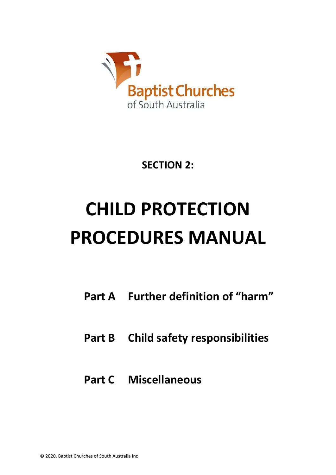

**SECTION 2:** 

# **CHILD PROTECTION PROCEDURES MANUAL**

- **Part A Further definition of "harm"**
- **Part B Child safety responsibilities**
- **Part C Miscellaneous**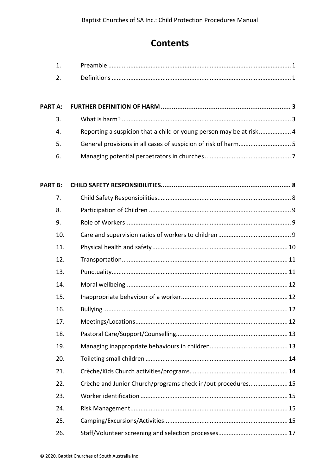## **Contents**

| Reporting a suspicion that a child or young person may be at risk 4 |
|---------------------------------------------------------------------|
|                                                                     |
|                                                                     |
|                                                                     |

| <b>PART B:</b> |                                                              |
|----------------|--------------------------------------------------------------|
| 7.             |                                                              |
| 8.             |                                                              |
| 9.             |                                                              |
| 10.            |                                                              |
| 11.            |                                                              |
| 12.            |                                                              |
| 13.            |                                                              |
| 14.            |                                                              |
| 15.            |                                                              |
| 16.            |                                                              |
| 17.            |                                                              |
| 18.            |                                                              |
| 19.            |                                                              |
| 20.            |                                                              |
| 21.            |                                                              |
| 22.            | Crèche and Junior Church/programs check in/out procedures 15 |
| 23.            |                                                              |
| 24.            |                                                              |
| 25.            |                                                              |
| 26.            |                                                              |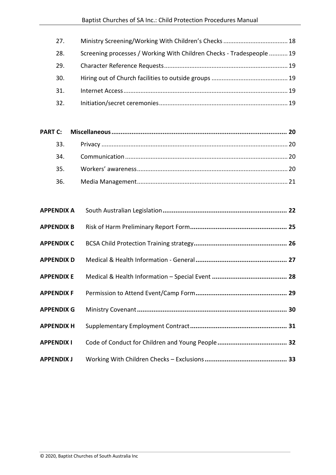| 27. |                                                                       |  |
|-----|-----------------------------------------------------------------------|--|
| 28. | Screening processes / Working With Children Checks - Tradespeople  19 |  |
| 29. |                                                                       |  |
| 30. |                                                                       |  |
| 31. |                                                                       |  |
| 32. |                                                                       |  |

| <b>APPENDIX A</b> |  |
|-------------------|--|
| <b>APPENDIX B</b> |  |
| <b>APPENDIX C</b> |  |
| <b>APPENDIX D</b> |  |
| <b>APPENDIX E</b> |  |
| <b>APPENDIX F</b> |  |
| <b>APPENDIX G</b> |  |
| <b>APPENDIX H</b> |  |
| <b>APPENDIX I</b> |  |
| <b>APPENDIX J</b> |  |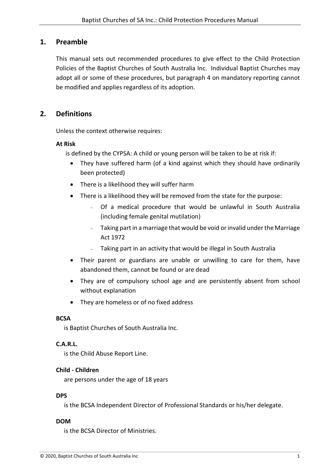#### <span id="page-9-0"></span>**1. Preamble**

This manual sets out recommended procedures to give effect to the Child Protection Policies of the Baptist Churches of South Australia Inc. Individual Baptist Churches may adopt all or some of these procedures, but paragraph 4 on mandatory reporting cannot be modified and applies regardless of its adoption.

## <span id="page-9-1"></span>**2. Definitions**

Unless the context otherwise requires:

#### **At Risk**

is defined by the CYPSA: A child or young person will be taken to be at risk if:

- They have suffered harm (of a kind against which they should have ordinarily been protected)
- There is a likelihood they will suffer harm
- There is a likelihood they will be removed from the state for the purpose:
	- <sup>−</sup> Of a medical procedure that would be unlawful in South Australia (including female genital mutilation)
	- <sup>−</sup> Taking part in a marriage that would be void or invalid under the Marriage Act 1972
	- <sup>−</sup> Taking part in an activity that would be illegal in South Australia
- Their parent or guardians are unable or unwilling to care for them, have abandoned them, cannot be found or are dead
- They are of compulsory school age and are persistently absent from school without explanation
- They are homeless or of no fixed address

#### **BCSA**

is Baptist Churches of South Australia Inc.

#### **C.A.R.L.**

is the Child Abuse Report Line.

#### **Child - Children**

are persons under the age of 18 years

#### **DPS**

is the BCSA Independent Director of Professional Standards or his/her delegate.

#### **DOM**

is the BCSA Director of Ministries.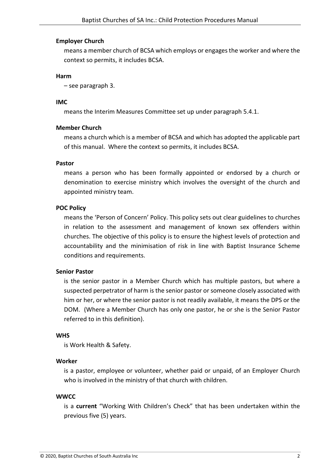#### **Employer Church**

means a member church of BCSA which employs or engages the worker and where the context so permits, it includes BCSA.

#### **Harm**

– see paragraph 3.

#### **IMC**

means the Interim Measures Committee set up under paragraph 5.4.1.

#### **Member Church**

means a church which is a member of BCSA and which has adopted the applicable part of this manual. Where the context so permits, it includes BCSA.

#### **Pastor**

means a person who has been formally appointed or endorsed by a church or denomination to exercise ministry which involves the oversight of the church and appointed ministry team.

#### **POC Policy**

means the 'Person of Concern' Policy. This policy sets out clear guidelines to churches in relation to the assessment and management of known sex offenders within churches. The objective of this policy is to ensure the highest levels of protection and accountability and the minimisation of risk in line with Baptist Insurance Scheme conditions and requirements.

#### **Senior Pastor**

is the senior pastor in a Member Church which has multiple pastors, but where a suspected perpetrator of harm is the senior pastor or someone closely associated with him or her, or where the senior pastor is not readily available, it means the DPS or the DOM. (Where a Member Church has only one pastor, he or she is the Senior Pastor referred to in this definition).

#### **WHS**

is Work Health & Safety.

#### **Worker**

is a pastor, employee or volunteer, whether paid or unpaid, of an Employer Church who is involved in the ministry of that church with children.

#### **WWCC**

is a **current** "Working With Children's Check" that has been undertaken within the previous five (5) years.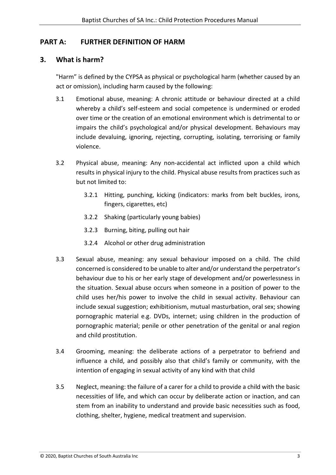## <span id="page-11-0"></span>**PART A: FURTHER DEFINITION OF HARM**

## <span id="page-11-1"></span>**3. What is harm?**

"Harm" is defined by the CYPSA as physical or psychological harm (whether caused by an act or omission), including harm caused by the following:

- 3.1 Emotional abuse, meaning: A chronic attitude or behaviour directed at a child whereby a child's self-esteem and social competence is undermined or eroded over time or the creation of an emotional environment which is detrimental to or impairs the child's psychological and/or physical development. Behaviours may include devaluing, ignoring, rejecting, corrupting, isolating, terrorising or family violence.
- 3.2 Physical abuse, meaning: Any non-accidental act inflicted upon a child which results in physical injury to the child. Physical abuse results from practices such as but not limited to:
	- 3.2.1 Hitting, punching, kicking (indicators: marks from belt buckles, irons, fingers, cigarettes, etc)
	- 3.2.2 Shaking (particularly young babies)
	- 3.2.3 Burning, biting, pulling out hair
	- 3.2.4 Alcohol or other drug administration
- 3.3 Sexual abuse, meaning: any sexual behaviour imposed on a child. The child concerned is considered to be unable to alter and/or understand the perpetrator's behaviour due to his or her early stage of development and/or powerlessness in the situation. Sexual abuse occurs when someone in a position of power to the child uses her/his power to involve the child in sexual activity. Behaviour can include sexual suggestion; exhibitionism, mutual masturbation, oral sex; showing pornographic material e.g. DVDs, internet; using children in the production of pornographic material; penile or other penetration of the genital or anal region and child prostitution.
- 3.4 Grooming, meaning: the deliberate actions of a perpetrator to befriend and influence a child, and possibly also that child's family or community, with the intention of engaging in sexual activity of any kind with that child
- 3.5 Neglect, meaning: the failure of a carer for a child to provide a child with the basic necessities of life, and which can occur by deliberate action or inaction, and can stem from an inability to understand and provide basic necessities such as food, clothing, shelter, hygiene, medical treatment and supervision.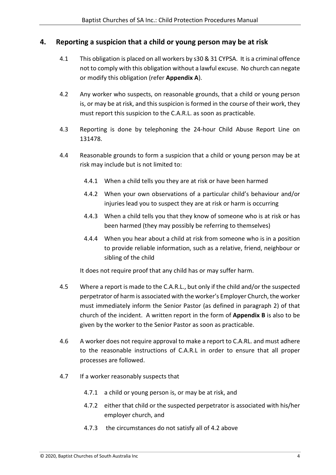#### <span id="page-12-0"></span>**4. Reporting a suspicion that a child or young person may be at risk**

- 4.1 This obligation is placed on all workers by s30 & 31 CYPSA. It is a criminal offence not to comply with this obligation without a lawful excuse. No church can negate or modify this obligation (refer **[Appendix A](#page-30-0)**).
- 4.2 Any worker who suspects, on reasonable grounds, that a child or young person is, or may be at risk, and this suspicion is formed in the course of their work, they must report this suspicion to the C.A.R.L. as soon as practicable.
- 4.3 Reporting is done by telephoning the 24-hour Child Abuse Report Line on 131478.
- 4.4 Reasonable grounds to form a suspicion that a child or young person may be at risk may include but is not limited to:
	- 4.4.1 When a child tells you they are at risk or have been harmed
	- 4.4.2 When your own observations of a particular child's behaviour and/or injuries lead you to suspect they are at risk or harm is occurring
	- 4.4.3 When a child tells you that they know of someone who is at risk or has been harmed (they may possibly be referring to themselves)
	- 4.4.4 When you hear about a child at risk from someone who is in a position to provide reliable information, such as a relative, friend, neighbour or sibling of the child

It does not require proof that any child has or may suffer harm.

- 4.5 Where a report is made to the C.A.R.L., but only if the child and/or the suspected perpetrator of harm is associated with the worker's Employer Church, the worker must immediately inform the Senior Pastor (as defined in paragraph 2) of that church of the incident. A written report in the form of **[Appendix B](#page-33-0)** is also to be given by the worker to the Senior Pastor as soon as practicable.
- 4.6 A worker does not require approval to make a report to C.A.RL. and must adhere to the reasonable instructions of C.A.R.L in order to ensure that all proper processes are followed.
- 4.7 If a worker reasonably suspects that
	- 4.7.1 a child or young person is, or may be at risk, and
	- 4.7.2 either that child or the suspected perpetrator is associated with his/her employer church, and
	- 4.7.3 the circumstances do not satisfy all of 4.2 above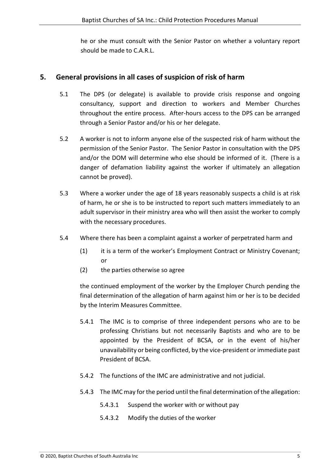he or she must consult with the Senior Pastor on whether a voluntary report should be made to C.A.R.L.

## <span id="page-13-0"></span>**5. General provisions in all cases of suspicion of risk of harm**

- 5.1 The DPS (or delegate) is available to provide crisis response and ongoing consultancy, support and direction to workers and Member Churches throughout the entire process. After-hours access to the DPS can be arranged through a Senior Pastor and/or his or her delegate.
- 5.2 A worker is not to inform anyone else of the suspected risk of harm without the permission of the Senior Pastor. The Senior Pastor in consultation with the DPS and/or the DOM will determine who else should be informed of it. (There is a danger of defamation liability against the worker if ultimately an allegation cannot be proved).
- 5.3 Where a worker under the age of 18 years reasonably suspects a child is at risk of harm, he or she is to be instructed to report such matters immediately to an adult supervisor in their ministry area who will then assist the worker to comply with the necessary procedures.
- 5.4 Where there has been a complaint against a worker of perpetrated harm and
	- (1) it is a term of the worker's Employment Contract or Ministry Covenant; or
	- (2) the parties otherwise so agree

the continued employment of the worker by the Employer Church pending the final determination of the allegation of harm against him or her is to be decided by the Interim Measures Committee.

- 5.4.1 The IMC is to comprise of three independent persons who are to be professing Christians but not necessarily Baptists and who are to be appointed by the President of BCSA, or in the event of his/her unavailability or being conflicted, by the vice-president or immediate past President of BCSA.
- 5.4.2 The functions of the IMC are administrative and not judicial.
- 5.4.3 The IMC may for the period until the final determination of the allegation:
	- 5.4.3.1 Suspend the worker with or without pay
	- 5.4.3.2 Modify the duties of the worker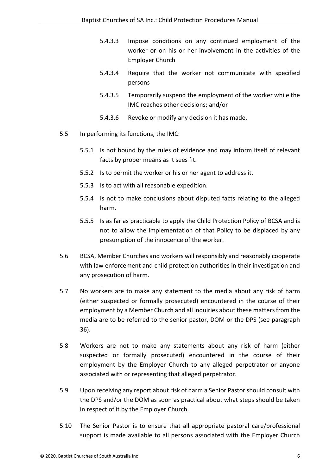- 5.4.3.3 Impose conditions on any continued employment of the worker or on his or her involvement in the activities of the Employer Church
- 5.4.3.4 Require that the worker not communicate with specified persons
- 5.4.3.5 Temporarily suspend the employment of the worker while the IMC reaches other decisions; and/or
- 5.4.3.6 Revoke or modify any decision it has made.
- 5.5 In performing its functions, the IMC:
	- 5.5.1 Is not bound by the rules of evidence and may inform itself of relevant facts by proper means as it sees fit.
	- 5.5.2 Is to permit the worker or his or her agent to address it.
	- 5.5.3 Is to act with all reasonable expedition.
	- 5.5.4 Is not to make conclusions about disputed facts relating to the alleged harm.
	- 5.5.5 Is as far as practicable to apply the Child Protection Policy of BCSA and is not to allow the implementation of that Policy to be displaced by any presumption of the innocence of the worker.
- 5.6 BCSA, Member Churches and workers will responsibly and reasonably cooperate with law enforcement and child protection authorities in their investigation and any prosecution of harm.
- 5.7 No workers are to make any statement to the media about any risk of harm (either suspected or formally prosecuted) encountered in the course of their employment by a Member Church and all inquiries about these matters from the media are to be referred to the senior pastor, DOM or the DPS (see paragraph 36).
- 5.8 Workers are not to make any statements about any risk of harm (either suspected or formally prosecuted) encountered in the course of their employment by the Employer Church to any alleged perpetrator or anyone associated with or representing that alleged perpetrator.
- 5.9 Upon receiving any report about risk of harm a Senior Pastor should consult with the DPS and/or the DOM as soon as practical about what steps should be taken in respect of it by the Employer Church.
- 5.10 The Senior Pastor is to ensure that all appropriate pastoral care/professional support is made available to all persons associated with the Employer Church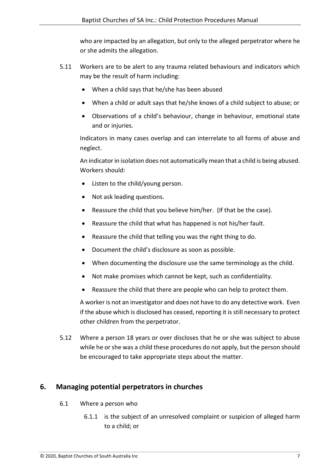who are impacted by an allegation, but only to the alleged perpetrator where he or she admits the allegation.

- 5.11 Workers are to be alert to any trauma related behaviours and indicators which may be the result of harm including:
	- When a child says that he/she has been abused
	- When a child or adult says that he/she knows of a child subject to abuse; or
	- Observations of a child's behaviour, change in behaviour, emotional state and or injuries.

Indicators in many cases overlap and can interrelate to all forms of abuse and neglect.

An indicator in isolation does not automatically mean that a child is being abused. Workers should:

- Listen to the child/young person.
- Not ask leading questions.
- Reassure the child that you believe him/her. (If that be the case).
- Reassure the child that what has happened is not his/her fault.
- Reassure the child that telling you was the right thing to do.
- Document the child's disclosure as soon as possible.
- When documenting the disclosure use the same terminology as the child.
- Not make promises which cannot be kept, such as confidentiality.
- Reassure the child that there are people who can help to protect them.

A worker is not an investigator and does not have to do any detective work. Even if the abuse which is disclosed has ceased, reporting it is still necessary to protect other children from the perpetrator.

5.12 Where a person 18 years or over discloses that he or she was subject to abuse while he or she was a child these procedures do not apply, but the person should be encouraged to take appropriate steps about the matter.

## <span id="page-15-0"></span>**6. Managing potential perpetrators in churches**

- 6.1 Where a person who
	- 6.1.1 is the subject of an unresolved complaint or suspicion of alleged harm to a child; or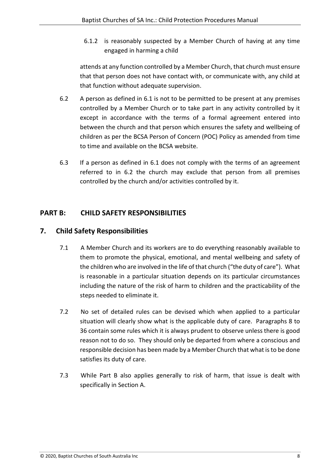6.1.2 is reasonably suspected by a Member Church of having at any time engaged in harming a child

attends at any function controlled by a Member Church, that church must ensure that that person does not have contact with, or communicate with, any child at that function without adequate supervision.

- 6.2 A person as defined in 6.1 is not to be permitted to be present at any premises controlled by a Member Church or to take part in any activity controlled by it except in accordance with the terms of a formal agreement entered into between the church and that person which ensures the safety and wellbeing of children as per the BCSA Person of Concern (POC) Policy as amended from time to time and available on the BCSA website.
- 6.3 If a person as defined in 6.1 does not comply with the terms of an agreement referred to in 6.2 the church may exclude that person from all premises controlled by the church and/or activities controlled by it.

## <span id="page-16-0"></span>**PART B: CHILD SAFETY RESPONSIBILITIES**

## <span id="page-16-1"></span>**7. Child Safety Responsibilities**

- 7.1 A Member Church and its workers are to do everything reasonably available to them to promote the physical, emotional, and mental wellbeing and safety of the children who are involved in the life of that church ("the duty of care"). What is reasonable in a particular situation depends on its particular circumstances including the nature of the risk of harm to children and the practicability of the steps needed to eliminate it.
- 7.2 No set of detailed rules can be devised which when applied to a particular situation will clearly show what is the applicable duty of care. Paragraphs 8 to 36 contain some rules which it is always prudent to observe unless there is good reason not to do so. They should only be departed from where a conscious and responsible decision has been made by a Member Church that what is to be done satisfies its duty of care.
- 7.3 While Part B also applies generally to risk of harm, that issue is dealt with specifically in Section A.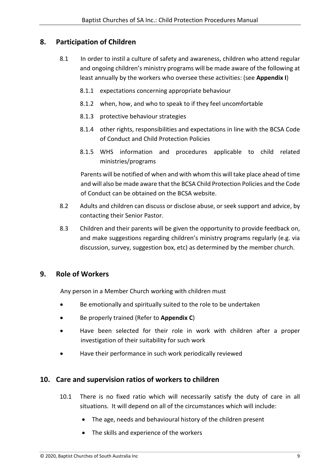## <span id="page-17-0"></span>**8. Participation of Children**

- 8.1 In order to instil a culture of safety and awareness, children who attend regular and ongoing children's ministry programs will be made aware of the following at least annually by the workers who oversee these activities: (see **[Appendix I](#page-40-0)**)
	- 8.1.1 expectations concerning appropriate behaviour
	- 8.1.2 when, how, and who to speak to if they feel uncomfortable
	- 8.1.3 protective behaviour strategies
	- 8.1.4 other rights, responsibilities and expectations in line with the BCSA Code of Conduct and Child Protection Policies
	- 8.1.5 WHS information and procedures applicable to child related ministries/programs

Parents will be notified of when and with whom this will take place ahead of time and will also be made aware that the BCSA Child Protection Policies and the Code of Conduct can be obtained on the BCSA website.

- 8.2 Adults and children can discuss or disclose abuse, or seek support and advice, by contacting their Senior Pastor.
- 8.3 Children and their parents will be given the opportunity to provide feedback on, and make suggestions regarding children's ministry programs regularly (e.g. via discussion, survey, suggestion box, etc) as determined by the member church.

#### <span id="page-17-1"></span>**9. Role of Workers**

Any person in a Member Church working with children must

- Be emotionally and spiritually suited to the role to be undertaken
- Be properly trained (Refer to **[Appendix C](#page-34-0)**)
- Have been selected for their role in work with children after a proper investigation of their suitability for such work
- Have their performance in such work periodically reviewed

#### <span id="page-17-2"></span>**10. Care and supervision ratios of workers to children**

- 10.1 There is no fixed ratio which will necessarily satisfy the duty of care in all situations. It will depend on all of the circumstances which will include:
	- The age, needs and behavioural history of the children present
	- The skills and experience of the workers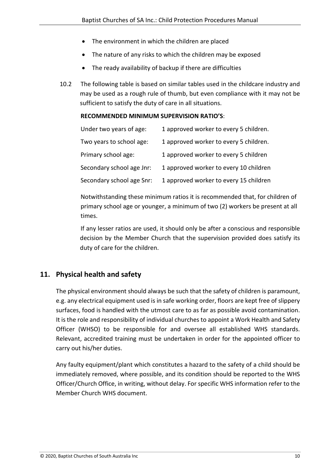- The environment in which the children are placed
- The nature of any risks to which the children may be exposed
- The ready availability of backup if there are difficulties
- 10.2 The following table is based on similar tables used in the childcare industry and may be used as a rough rule of thumb, but even compliance with it may not be sufficient to satisfy the duty of care in all situations.

#### **RECOMMENDED MINIMUM SUPERVISION RATIO'S**:

| Under two years of age:   | 1 approved worker to every 5 children. |
|---------------------------|----------------------------------------|
| Two years to school age:  | 1 approved worker to every 5 children. |
| Primary school age:       | 1 approved worker to every 5 children  |
| Secondary school age Jnr: | 1 approved worker to every 10 children |
| Secondary school age Snr: | 1 approved worker to every 15 children |

Notwithstanding these minimum ratios it is recommended that, for children of primary school age or younger, a minimum of two (2) workers be present at all times.

If any lesser ratios are used, it should only be after a conscious and responsible decision by the Member Church that the supervision provided does satisfy its duty of care for the children.

#### <span id="page-18-0"></span>**11. Physical health and safety**

The physical environment should always be such that the safety of children is paramount, e.g. any electrical equipment used is in safe working order, floors are kept free of slippery surfaces, food is handled with the utmost care to as far as possible avoid contamination. It is the role and responsibility of individual churches to appoint a Work Health and Safety Officer (WHSO) to be responsible for and oversee all established WHS standards. Relevant, accredited training must be undertaken in order for the appointed officer to carry out his/her duties.

Any faulty equipment/plant which constitutes a hazard to the safety of a child should be immediately removed, where possible, and its condition should be reported to the WHS Officer/Church Office, in writing, without delay. For specific WHS information refer to the Member Church WHS document.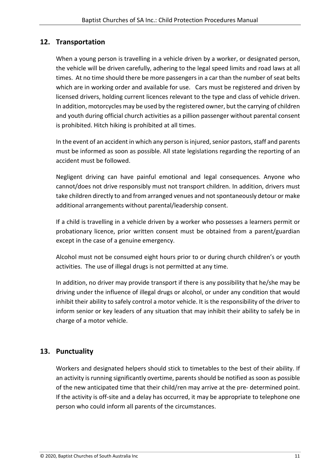## <span id="page-19-0"></span>**12. Transportation**

When a young person is travelling in a vehicle driven by a worker, or designated person, the vehicle will be driven carefully, adhering to the legal speed limits and road laws at all times. At no time should there be more passengers in a car than the number of seat belts which are in working order and available for use. Cars must be registered and driven by licensed drivers, holding current licences relevant to the type and class of vehicle driven. In addition, motorcycles may be used by the registered owner, but the carrying of children and youth during official church activities as a pillion passenger without parental consent is prohibited. Hitch hiking is prohibited at all times.

In the event of an accident in which any person is injured, senior pastors, staff and parents must be informed as soon as possible. All state legislations regarding the reporting of an accident must be followed.

Negligent driving can have painful emotional and legal consequences. Anyone who cannot/does not drive responsibly must not transport children. In addition, drivers must take children directly to and from arranged venues and not spontaneously detour or make additional arrangements without parental/leadership consent.

If a child is travelling in a vehicle driven by a worker who possesses a learners permit or probationary licence, prior written consent must be obtained from a parent/guardian except in the case of a genuine emergency.

Alcohol must not be consumed eight hours prior to or during church children's or youth activities. The use of illegal drugs is not permitted at any time.

In addition, no driver may provide transport if there is any possibility that he/she may be driving under the influence of illegal drugs or alcohol, or under any condition that would inhibit their ability to safely control a motor vehicle. It is the responsibility of the driver to inform senior or key leaders of any situation that may inhibit their ability to safely be in charge of a motor vehicle.

## <span id="page-19-1"></span>**13. Punctuality**

Workers and designated helpers should stick to timetables to the best of their ability. If an activity is running significantly overtime, parents should be notified as soon as possible of the new anticipated time that their child/ren may arrive at the pre- determined point. If the activity is off-site and a delay has occurred, it may be appropriate to telephone one person who could inform all parents of the circumstances.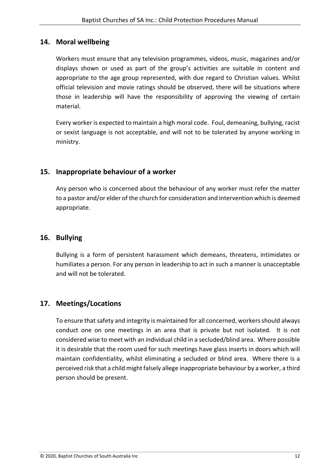## <span id="page-20-0"></span>**14. Moral wellbeing**

Workers must ensure that any television programmes, videos, music, magazines and/or displays shown or used as part of the group's activities are suitable in content and appropriate to the age group represented, with due regard to Christian values. Whilst official television and movie ratings should be observed, there will be situations where those in leadership will have the responsibility of approving the viewing of certain material.

Every worker is expected to maintain a high moral code. Foul, demeaning, bullying, racist or sexist language is not acceptable, and will not to be tolerated by anyone working in ministry.

## <span id="page-20-1"></span>**15. Inappropriate behaviour of a worker**

Any person who is concerned about the behaviour of any worker must refer the matter to a pastor and/or elder of the church for consideration and intervention which is deemed appropriate.

## <span id="page-20-2"></span>**16. Bullying**

Bullying is a form of persistent harassment which demeans, threatens, intimidates or humiliates a person. For any person in leadership to act in such a manner is unacceptable and will not be tolerated.

## <span id="page-20-3"></span>**17. Meetings/Locations**

To ensure that safety and integrity is maintained for all concerned, workers should always conduct one on one meetings in an area that is private but not isolated. It is not considered wise to meet with an individual child in a secluded/blind area. Where possible it is desirable that the room used for such meetings have glass inserts in doors which will maintain confidentiality, whilst eliminating a secluded or blind area. Where there is a perceived risk that a child might falsely allege inappropriate behaviour by a worker, a third person should be present.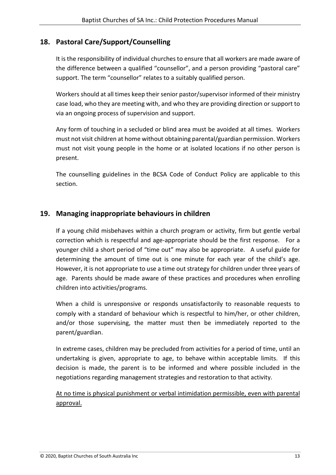## <span id="page-21-0"></span>**18. Pastoral Care/Support/Counselling**

It is the responsibility of individual churches to ensure that all workers are made aware of the difference between a qualified "counsellor", and a person providing "pastoral care" support. The term "counsellor" relates to a suitably qualified person.

Workers should at all times keep their senior pastor/supervisor informed of their ministry case load, who they are meeting with, and who they are providing direction or support to via an ongoing process of supervision and support.

Any form of touching in a secluded or blind area must be avoided at all times. Workers must not visit children at home without obtaining parental/guardian permission. Workers must not visit young people in the home or at isolated locations if no other person is present.

The counselling guidelines in the BCSA Code of Conduct Policy are applicable to this section.

## <span id="page-21-1"></span>**19. Managing inappropriate behaviours in children**

If a young child misbehaves within a church program or activity, firm but gentle verbal correction which is respectful and age-appropriate should be the first response. For a younger child a short period of "time out" may also be appropriate. A useful guide for determining the amount of time out is one minute for each year of the child's age. However, it is not appropriate to use a time out strategy for children under three years of age. Parents should be made aware of these practices and procedures when enrolling children into activities/programs.

When a child is unresponsive or responds unsatisfactorily to reasonable requests to comply with a standard of behaviour which is respectful to him/her, or other children, and/or those supervising, the matter must then be immediately reported to the parent/guardian.

In extreme cases, children may be precluded from activities for a period of time, until an undertaking is given, appropriate to age, to behave within acceptable limits. If this decision is made, the parent is to be informed and where possible included in the negotiations regarding management strategies and restoration to that activity.

At no time is physical punishment or verbal intimidation permissible, even with parental approval.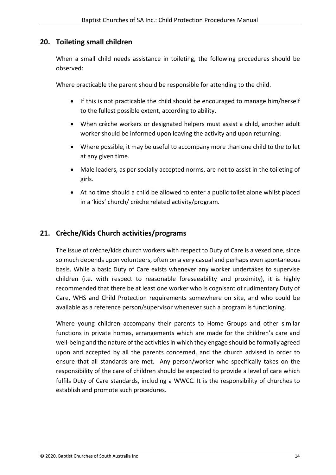## <span id="page-22-0"></span>**20. Toileting small children**

When a small child needs assistance in toileting, the following procedures should be observed:

Where practicable the parent should be responsible for attending to the child.

- If this is not practicable the child should be encouraged to manage him/herself to the fullest possible extent, according to ability.
- When crèche workers or designated helpers must assist a child, another adult worker should be informed upon leaving the activity and upon returning.
- Where possible, it may be useful to accompany more than one child to the toilet at any given time.
- Male leaders, as per socially accepted norms, are not to assist in the toileting of girls.
- At no time should a child be allowed to enter a public toilet alone whilst placed in a 'kids' church/ crèche related activity/program.

## <span id="page-22-1"></span>**21. Crèche/Kids Church activities/programs**

The issue of crèche/kids church workers with respect to Duty of Care is a vexed one, since so much depends upon volunteers, often on a very casual and perhaps even spontaneous basis. While a basic Duty of Care exists whenever any worker undertakes to supervise children (i.e. with respect to reasonable foreseeability and proximity), it is highly recommended that there be at least one worker who is cognisant of rudimentary Duty of Care, WHS and Child Protection requirements somewhere on site, and who could be available as a reference person/supervisor whenever such a program is functioning.

Where young children accompany their parents to Home Groups and other similar functions in private homes, arrangements which are made for the children's care and well-being and the nature of the activities in which they engage should be formally agreed upon and accepted by all the parents concerned, and the church advised in order to ensure that all standards are met. Any person/worker who specifically takes on the responsibility of the care of children should be expected to provide a level of care which fulfils Duty of Care standards, including a WWCC. It is the responsibility of churches to establish and promote such procedures.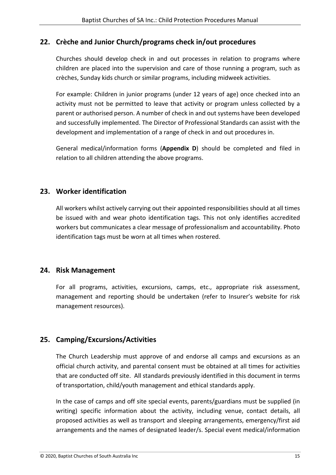## <span id="page-23-0"></span>**22. Crèche and Junior Church/programs check in/out procedures**

Churches should develop check in and out processes in relation to programs where children are placed into the supervision and care of those running a program, such as crèches, Sunday kids church or similar programs, including midweek activities.

For example: Children in junior programs (under 12 years of age) once checked into an activity must not be permitted to leave that activity or program unless collected by a parent or authorised person. A number of check in and out systems have been developed and successfully implemented. The Director of Professional Standards can assist with the development and implementation of a range of check in and out procedures in.

General medical/information forms (**[Appendix D](#page-35-0)**) should be completed and filed in relation to all children attending the above programs.

## <span id="page-23-1"></span>**23. Worker identification**

All workers whilst actively carrying out their appointed responsibilities should at all times be issued with and wear photo identification tags. This not only identifies accredited workers but communicates a clear message of professionalism and accountability. Photo identification tags must be worn at all times when rostered.

## <span id="page-23-2"></span>**24. Risk Management**

For all programs, activities, excursions, camps, etc., appropriate risk assessment, management and reporting should be undertaken (refer to Insurer's website for risk management resources).

## <span id="page-23-3"></span>**25. Camping/Excursions/Activities**

The Church Leadership must approve of and endorse all camps and excursions as an official church activity, and parental consent must be obtained at all times for activities that are conducted off site. All standards previously identified in this document in terms of transportation, child/youth management and ethical standards apply.

In the case of camps and off site special events, parents/guardians must be supplied (in writing) specific information about the activity, including venue, contact details, all proposed activities as well as transport and sleeping arrangements, emergency/first aid arrangements and the names of designated leader/s. Special event medical/information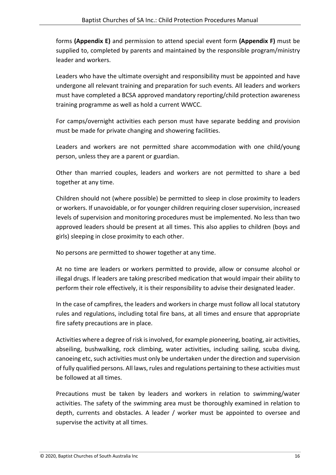forms **[\(Appendix E\)](#page-36-0)** and permission to attend special event form **[\(Appendix F\)](#page-37-0)** must be supplied to, completed by parents and maintained by the responsible program/ministry leader and workers.

Leaders who have the ultimate oversight and responsibility must be appointed and have undergone all relevant training and preparation for such events. All leaders and workers must have completed a BCSA approved mandatory reporting/child protection awareness training programme as well as hold a current WWCC.

For camps/overnight activities each person must have separate bedding and provision must be made for private changing and showering facilities.

Leaders and workers are not permitted share accommodation with one child/young person, unless they are a parent or guardian.

Other than married couples, leaders and workers are not permitted to share a bed together at any time.

Children should not (where possible) be permitted to sleep in close proximity to leaders or workers. If unavoidable, or for younger children requiring closer supervision, increased levels of supervision and monitoring procedures must be implemented. No less than two approved leaders should be present at all times. This also applies to children (boys and girls) sleeping in close proximity to each other.

No persons are permitted to shower together at any time.

At no time are leaders or workers permitted to provide, allow or consume alcohol or illegal drugs. If leaders are taking prescribed medication that would impair their ability to perform their role effectively, it is their responsibility to advise their designated leader.

In the case of campfires, the leaders and workers in charge must follow all local statutory rules and regulations, including total fire bans, at all times and ensure that appropriate fire safety precautions are in place.

Activities where a degree of risk is involved, for example pioneering, boating, air activities, abseiling, bushwalking, rock climbing, water activities, including sailing, scuba diving, canoeing etc, such activities must only be undertaken under the direction and supervision of fully qualified persons. All laws, rules and regulations pertaining to these activities must be followed at all times.

Precautions must be taken by leaders and workers in relation to swimming/water activities. The safety of the swimming area must be thoroughly examined in relation to depth, currents and obstacles. A leader / worker must be appointed to oversee and supervise the activity at all times.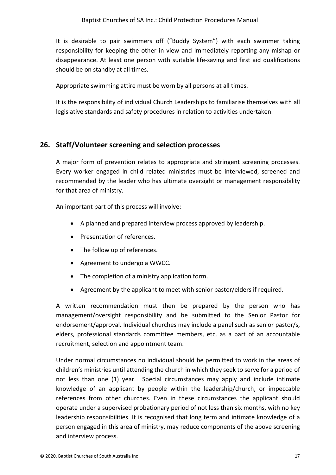It is desirable to pair swimmers off ("Buddy System") with each swimmer taking responsibility for keeping the other in view and immediately reporting any mishap or disappearance. At least one person with suitable life-saving and first aid qualifications should be on standby at all times.

Appropriate swimming attire must be worn by all persons at all times.

It is the responsibility of individual Church Leaderships to familiarise themselves with all legislative standards and safety procedures in relation to activities undertaken.

## <span id="page-25-0"></span>**26. Staff/Volunteer screening and selection processes**

A major form of prevention relates to appropriate and stringent screening processes. Every worker engaged in child related ministries must be interviewed, screened and recommended by the leader who has ultimate oversight or management responsibility for that area of ministry.

An important part of this process will involve:

- A planned and prepared interview process approved by leadership.
- Presentation of references.
- The follow up of references.
- Agreement to undergo a WWCC.
- The completion of a ministry application form.
- Agreement by the applicant to meet with senior pastor/elders if required.

A written recommendation must then be prepared by the person who has management/oversight responsibility and be submitted to the Senior Pastor for endorsement/approval. Individual churches may include a panel such as senior pastor/s, elders, professional standards committee members, etc, as a part of an accountable recruitment, selection and appointment team.

Under normal circumstances no individual should be permitted to work in the areas of children's ministries until attending the church in which they seek to serve for a period of not less than one (1) year. Special circumstances may apply and include intimate knowledge of an applicant by people within the leadership/church, or impeccable references from other churches. Even in these circumstances the applicant should operate under a supervised probationary period of not less than six months, with no key leadership responsibilities. It is recognised that long term and intimate knowledge of a person engaged in this area of ministry, may reduce components of the above screening and interview process.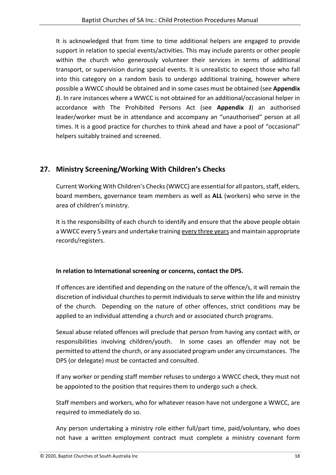It is acknowledged that from time to time additional helpers are engaged to provide support in relation to special events/activities. This may include parents or other people within the church who generously volunteer their services in terms of additional transport, or supervision during special events. It is unrealistic to expect those who fall into this category on a random basis to undergo additional training, however where possible a WWCC should be obtained and in some cases must be obtained (see **[Appendix](#page-41-0)  [J](#page-41-0)**). In rare instances where a WWCC is not obtained for an additional/occasional helper in accordance with The Prohibited Persons Act (see **[Appendix J](#page-41-0)**) an authorised leader/worker must be in attendance and accompany an "unauthorised" person at all times. It is a good practice for churches to think ahead and have a pool of "occasional" helpers suitably trained and screened.

## <span id="page-26-0"></span>**27. Ministry Screening/Working With Children's Checks**

Current Working With Children's Checks(WWCC) are essential for all pastors, staff, elders, board members, governance team members as well as **ALL** (workers) who serve in the area of children's ministry.

It is the responsibility of each church to identify and ensure that the above people obtain a WWCC every 5 years and undertake training every three years and maintain appropriate records/registers.

#### **In relation to International screening or concerns, contact the DPS.**

If offences are identified and depending on the nature of the offence/s, it will remain the discretion of individual churches to permit individuals to serve within the life and ministry of the church. Depending on the nature of other offences, strict conditions may be applied to an individual attending a church and or associated church programs.

Sexual abuse related offences will preclude that person from having any contact with, or responsibilities involving children/youth. In some cases an offender may not be permitted to attend the church, or any associated program under any circumstances. The DPS (or delegate) must be contacted and consulted.

If any worker or pending staff member refuses to undergo a WWCC check, they must not be appointed to the position that requires them to undergo such a check.

Staff members and workers, who for whatever reason have not undergone a WWCC, are required to immediately do so.

Any person undertaking a ministry role either full/part time, paid/voluntary, who does not have a written employment contract must complete a ministry covenant form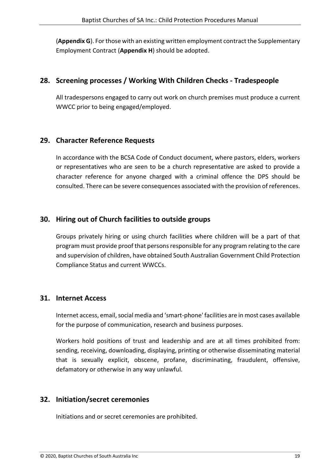(**[Appendix G](#page-38-0)**). For those with an existing written employment contract the Supplementary Employment Contract (**[Appendix H](#page-39-0)**) should be adopted.

#### <span id="page-27-0"></span>**28. Screening processes / Working With Children Checks - Tradespeople**

All tradespersons engaged to carry out work on church premises must produce a current WWCC prior to being engaged/employed.

#### <span id="page-27-1"></span>**29. Character Reference Requests**

In accordance with the BCSA Code of Conduct document, where pastors, elders, workers or representatives who are seen to be a church representative are asked to provide a character reference for anyone charged with a criminal offence the DPS should be consulted. There can be severe consequences associated with the provision of references.

#### <span id="page-27-2"></span>**30. Hiring out of Church facilities to outside groups**

Groups privately hiring or using church facilities where children will be a part of that program must provide proof that persons responsible for any program relating to the care and supervision of children, have obtained South Australian Government Child Protection Compliance Status and current WWCCs.

#### <span id="page-27-3"></span>**31. Internet Access**

Internet access, email, social media and 'smart-phone' facilities are in most cases available for the purpose of communication, research and business purposes.

Workers hold positions of trust and leadership and are at all times prohibited from: sending, receiving, downloading, displaying, printing or otherwise disseminating material that is sexually explicit, obscene, profane, discriminating, fraudulent, offensive, defamatory or otherwise in any way unlawful.

## <span id="page-27-4"></span>**32. Initiation/secret ceremonies**

Initiations and or secret ceremonies are prohibited.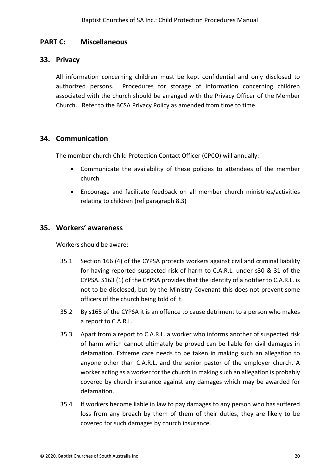## <span id="page-28-0"></span>**PART C: Miscellaneous**

#### <span id="page-28-1"></span>**33. Privacy**

All information concerning children must be kept confidential and only disclosed to authorized persons. Procedures for storage of information concerning children associated with the church should be arranged with the Privacy Officer of the Member Church. Refer to the BCSA Privacy Policy as amended from time to time.

#### <span id="page-28-2"></span>**34. Communication**

The member church Child Protection Contact Officer (CPCO) will annually:

- Communicate the availability of these policies to attendees of the member church
- Encourage and facilitate feedback on all member church ministries/activities relating to children (ref paragraph 8.3)

## <span id="page-28-3"></span>**35. Workers' awareness**

Workers should be aware:

- 35.1 Section 166 (4) of the CYPSA protects workers against civil and criminal liability for having reported suspected risk of harm to C.A.R.L. under s30 & 31 of the CYPSA. S163 (1) of the CYPSA provides that the identity of a notifier to C.A.R.L. is not to be disclosed, but by the Ministry Covenant this does not prevent some officers of the church being told of it.
- 35.2 By s165 of the CYPSA it is an offence to cause detriment to a person who makes a report to C.A.R.L.
- 35.3 Apart from a report to C.A.R.L. a worker who informs another of suspected risk of harm which cannot ultimately be proved can be liable for civil damages in defamation. Extreme care needs to be taken in making such an allegation to anyone other than C.A.R.L. and the senior pastor of the employer church. A worker acting as a worker for the church in making such an allegation is probably covered by church insurance against any damages which may be awarded for defamation.
- 35.4 If workers become liable in law to pay damages to any person who has suffered loss from any breach by them of them of their duties, they are likely to be covered for such damages by church insurance.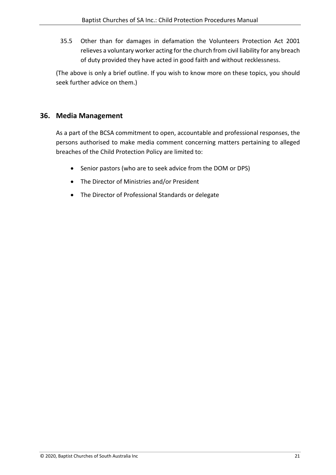35.5 Other than for damages in defamation the Volunteers Protection Act 2001 relieves a voluntary worker acting for the church from civil liability for any breach of duty provided they have acted in good faith and without recklessness.

(The above is only a brief outline. If you wish to know more on these topics, you should seek further advice on them.)

## <span id="page-29-0"></span>**36. Media Management**

As a part of the BCSA commitment to open, accountable and professional responses, the persons authorised to make media comment concerning matters pertaining to alleged breaches of the Child Protection Policy are limited to:

- Senior pastors (who are to seek advice from the DOM or DPS)
- The Director of Ministries and/or President
- The Director of Professional Standards or delegate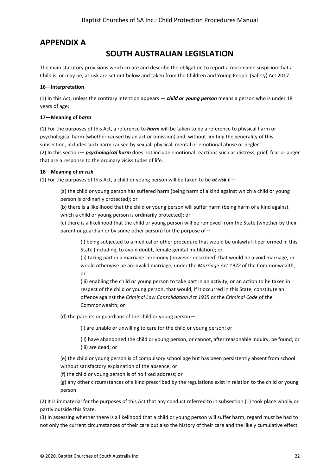## <span id="page-30-0"></span>**APPENDIX A**

## **SOUTH AUSTRALIAN LEGISLATION**

The main statutory provisions which create and describe the obligation to report a reasonable suspicion that a Child is, or may be, at risk are set out below and taken from the Children and Young People (Safety) Act 2017.

#### **16—Interpretation**

(1) In this Act, unless the contrary intention appears — *child or young person* means a person who is under 18 years of age;

#### **17—Meaning of** *harm*

(1) For the purposes of this Act, a reference to *harm* will be taken to be a reference to physical harm or psychological harm (whether caused by an act or omission) and, without limiting the generality of this subsection, includes such harm caused by sexual, physical, mental or emotional abuse or neglect. (2) In this section— *psychological harm* does not include emotional reactions such as distress, grief, fear or anger that are a response to the ordinary vicissitudes of life.

#### **18—Meaning of** *at risk*

(1) For the purposes of this Act, a child or young person will be taken to be *at risk* if—

(a) the child or young person has suffered harm (being harm of a kind against which a child or young person is ordinarily protected); or

(b) there is a likelihood that the child or young person will suffer harm (being harm of a kind against which a child or young person is ordinarily protected); or

(c) there is a likelihood that the child or young person will be removed from the State (whether by their parent or guardian or by some other person) for the purpose of—

(i) being subjected to a medical or other procedure that would be unlawful if performed in this State (including, to avoid doubt, female genital mutilation); or

(ii) taking part in a marriage ceremony (however described) that would be a void marriage, or would otherwise be an invalid marriage, under the *Marriage Act 1972* of the Commonwealth; or

(iii) enabling the child or young person to take part in an activity, or an action to be taken in respect of the child or young person, that would, if it occurred in this State, constitute an offence against the *Criminal Law Consolidation Act 1935* or the *Criminal Code* of the Commonwealth; or

(d) the parents or guardians of the child or young person—

(i) are unable or unwilling to care for the child or young person; or

(ii) have abandoned the child or young person, or cannot, after reasonable inquiry, be found; or (iii) are dead; or

(e) the child or young person is of compulsory school age but has been persistently absent from school without satisfactory explanation of the absence; or

(f) the child or young person is of no fixed address; or

(g) any other circumstances of a kind prescribed by the regulations exist in relation to the child or young person.

(2) It is immaterial for the purposes of this Act that any conduct referred to in subsection (1) took place wholly or partly outside this State.

(3) In assessing whether there is a likelihood that a child or young person will suffer harm, regard must be had to not only the current circumstances of their care but also the history of their care and the likely cumulative effect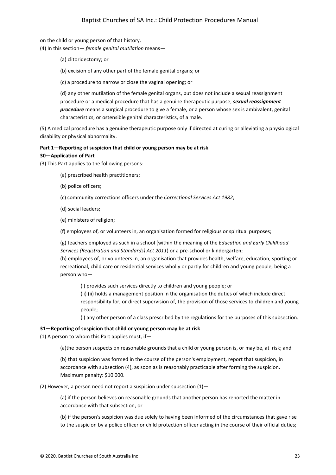on the child or young person of that history. (4) In this section— *female genital mutilation* means—

(a) clitoridectomy; or

(b) excision of any other part of the female genital organs; or

(c) a procedure to narrow or close the vaginal opening; or

(d) any other mutilation of the female genital organs, but does not include a sexual reassignment procedure or a medical procedure that has a genuine therapeutic purpose; *sexual reassignment procedure* means a surgical procedure to give a female, or a person whose sex is ambivalent, genital characteristics, or ostensible genital characteristics, of a male.

(5) A medical procedure has a genuine therapeutic purpose only if directed at curing or alleviating a physiological disability or physical abnormality.

#### **Part 1—Reporting of suspicion that child or young person may be at risk 30—Application of Part**

(3) This Part applies to the following persons:

(a) prescribed health practitioners;

(b) police officers;

(c) community corrections officers under the *Correctional Services Act 1982*;

(d) social leaders;

(e) ministers of religion;

(f) employees of, or volunteers in, an organisation formed for religious or spiritual purposes;

(g) teachers employed as such in a school (within the meaning of the *Education and Early Childhood Services (Registration and Standards) Act 2011*) or a pre-school or kindergarten;

(h) employees of, or volunteers in, an organisation that provides health, welfare, education, sporting or recreational, child care or residential services wholly or partly for children and young people, being a person who—

(i) provides such services directly to children and young people; or

(ii) (ii) holds a management position in the organisation the duties of which include direct responsibility for, or direct supervision of, the provision of those services to children and young people;

(i) any other person of a class prescribed by the regulations for the purposes of this subsection.

#### **31—Reporting of suspicion that child or young person may be at risk**

(1) A person to whom this Part applies must, if  $-$ 

(a)the person suspects on reasonable grounds that a child or young person is, or may be, at risk; and

(b) that suspicion was formed in the course of the person's employment, report that suspicion, in accordance with subsection (4), as soon as is reasonably practicable after forming the suspicion. Maximum penalty: \$10 000.

(2) However, a person need not report a suspicion under subsection  $(1)$ -

(a) if the person believes on reasonable grounds that another person has reported the matter in accordance with that subsection; or

(b) if the person's suspicion was due solely to having been informed of the circumstances that gave rise to the suspicion by a police officer or child protection officer acting in the course of their official duties;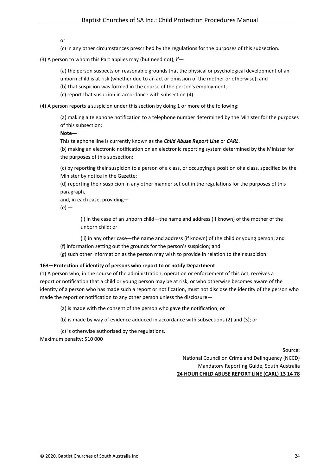or

(c) in any other circumstances prescribed by the regulations for the purposes of this subsection.

(3) A person to whom this Part applies may (but need not), if—

(a) the person suspects on reasonable grounds that the physical or psychological development of an

unborn child is at risk (whether due to an act or omission of the mother or otherwise); and

(b) that suspicion was formed in the course of the person's employment,

(c) report that suspicion in accordance with subsection (4).

(4) A person reports a suspicion under this section by doing 1 or more of the following:

(a) making a telephone notification to a telephone number determined by the Minister for the purposes of this subsection;

**Note—**

This telephone line is currently known as the *Child Abuse Report Line* or *CARL*.

(b) making an electronic notification on an electronic reporting system determined by the Minister for the purposes of this subsection;

(c) by reporting their suspicion to a person of a class, or occupying a position of a class, specified by the Minister by notice in the Gazette;

(d) reporting their suspicion in any other manner set out in the regulations for the purposes of this paragraph,

and, in each case, providing—

 $(e)$  —

(i) in the case of an unborn child—the name and address (if known) of the mother of the unborn child; or

(ii) in any other case—the name and address (if known) of the child or young person; and (f) information setting out the grounds for the person's suspicion; and

(g) such other information as the person may wish to provide in relation to their suspicion.

#### **163—Protection of identity of persons who report to or notify Department**

(1) A person who, in the course of the administration, operation or enforcement of this Act, receives a report or notification that a child or young person may be at risk, or who otherwise becomes aware of the identity of a person who has made such a report or notification, must not disclose the identity of the person who made the report or notification to any other person unless the disclosure—

(a) is made with the consent of the person who gave the notification; or

(b) is made by way of evidence adduced in accordance with subsections (2) and (3); or

(c) is otherwise authorised by the regulations.

Maximum penalty: \$10 000

Source: National Council on Crime and Delinquency (NCCD) Mandatory Reporting Guide, South Australia **24 HOUR CHILD ABUSE REPORT LINE (CARL) 13 14 78**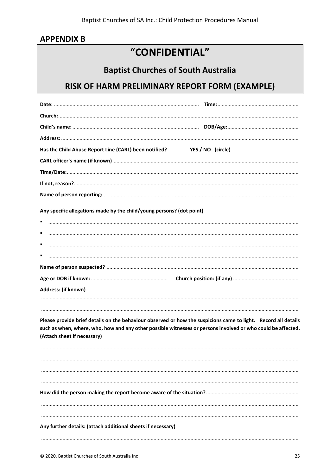## <span id="page-33-0"></span>**APPENDIX B**

## "CONFIDENTIAL"

## **Baptist Churches of South Australia**

## RISK OF HARM PRELIMINARY REPORT FORM (EXAMPLE)

| Has the Child Abuse Report Line (CARL) been notified? YES / NO (circle)                                                                                                                                                                                       |  |
|---------------------------------------------------------------------------------------------------------------------------------------------------------------------------------------------------------------------------------------------------------------|--|
|                                                                                                                                                                                                                                                               |  |
|                                                                                                                                                                                                                                                               |  |
|                                                                                                                                                                                                                                                               |  |
|                                                                                                                                                                                                                                                               |  |
| Any specific allegations made by the child/young persons? (dot point)                                                                                                                                                                                         |  |
|                                                                                                                                                                                                                                                               |  |
|                                                                                                                                                                                                                                                               |  |
|                                                                                                                                                                                                                                                               |  |
|                                                                                                                                                                                                                                                               |  |
|                                                                                                                                                                                                                                                               |  |
|                                                                                                                                                                                                                                                               |  |
| Address: (if known)                                                                                                                                                                                                                                           |  |
|                                                                                                                                                                                                                                                               |  |
| Please provide brief details on the behaviour observed or how the suspicions came to light. Record all details<br>such as when, where, who, how and any other possible witnesses or persons involved or who could be affected.<br>(Attach sheet if necessary) |  |
|                                                                                                                                                                                                                                                               |  |
|                                                                                                                                                                                                                                                               |  |
|                                                                                                                                                                                                                                                               |  |
|                                                                                                                                                                                                                                                               |  |
|                                                                                                                                                                                                                                                               |  |
|                                                                                                                                                                                                                                                               |  |
|                                                                                                                                                                                                                                                               |  |
| Any further details: (attach additional sheets if necessary)                                                                                                                                                                                                  |  |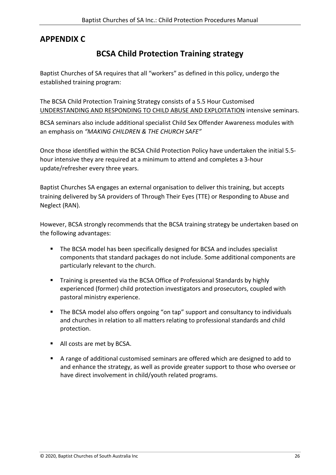## <span id="page-34-0"></span>**APPENDIX C**

## **BCSA Child Protection Training strategy**

Baptist Churches of SA requires that all "workers" as defined in this policy, undergo the established training program:

The BCSA Child Protection Training Strategy consists of a 5.5 Hour Customised UNDERSTANDING AND RESPONDING TO CHILD ABUSE AND EXPLOITATION intensive seminars.

BCSA seminars also include additional specialist Child Sex Offender Awareness modules with an emphasis on *"MAKING CHILDREN & THE CHURCH SAFE"*

Once those identified within the BCSA Child Protection Policy have undertaken the initial 5.5 hour intensive they are required at a minimum to attend and completes a 3-hour update/refresher every three years.

Baptist Churches SA engages an external organisation to deliver this training, but accepts training delivered by SA providers of Through Their Eyes (TTE) or Responding to Abuse and Neglect (RAN).

However, BCSA strongly recommends that the BCSA training strategy be undertaken based on the following advantages:

- The BCSA model has been specifically designed for BCSA and includes specialist components that standard packages do not include. Some additional components are particularly relevant to the church.
- **Training is presented via the BCSA Office of Professional Standards by highly** experienced (former) child protection investigators and prosecutors, coupled with pastoral ministry experience.
- **The BCSA model also offers ongoing "on tap" support and consultancy to individuals** and churches in relation to all matters relating to professional standards and child protection.
- All costs are met by BCSA.
- A range of additional customised seminars are offered which are designed to add to and enhance the strategy, as well as provide greater support to those who oversee or have direct involvement in child/youth related programs.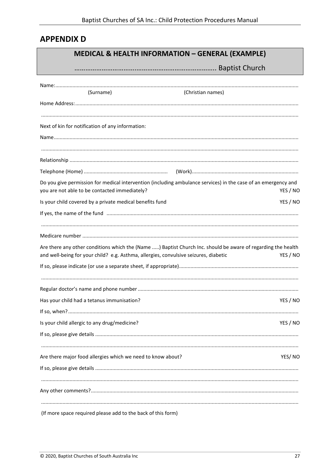## <span id="page-35-0"></span>**APPENDIX D**

## **MEDICAL & HEALTH INFORMATION - GENERAL (EXAMPLE)**

| (Surname)                                                                            | (Christian names)                                                                                                          |
|--------------------------------------------------------------------------------------|----------------------------------------------------------------------------------------------------------------------------|
|                                                                                      |                                                                                                                            |
| Next of kin for notification of any information:                                     |                                                                                                                            |
|                                                                                      |                                                                                                                            |
|                                                                                      |                                                                                                                            |
|                                                                                      |                                                                                                                            |
|                                                                                      |                                                                                                                            |
|                                                                                      |                                                                                                                            |
| you are not able to be contacted immediately?                                        | Do you give permission for medical intervention (including ambulance services) in the case of an emergency and<br>YES / NO |
| Is your child covered by a private medical benefits fund                             | YES / NO                                                                                                                   |
|                                                                                      |                                                                                                                            |
|                                                                                      |                                                                                                                            |
| and well-being for your child? e.g. Asthma, allergies, convulsive seizures, diabetic | Are there any other conditions which the (Name ) Baptist Church Inc. should be aware of regarding the health<br>YES / NO   |
|                                                                                      |                                                                                                                            |
|                                                                                      |                                                                                                                            |
| Has your child had a tetanus immunisation?                                           | YES / NO                                                                                                                   |
|                                                                                      |                                                                                                                            |
| Is your child allergic to any drug/medicine?                                         | YES / NO                                                                                                                   |
|                                                                                      |                                                                                                                            |
| Are there major food allergies which we need to know about?                          | YES/NO                                                                                                                     |
|                                                                                      |                                                                                                                            |
|                                                                                      |                                                                                                                            |
| cure und also a data the sheet and the filter femme.                                 |                                                                                                                            |

(If more space required please add to the back of this form)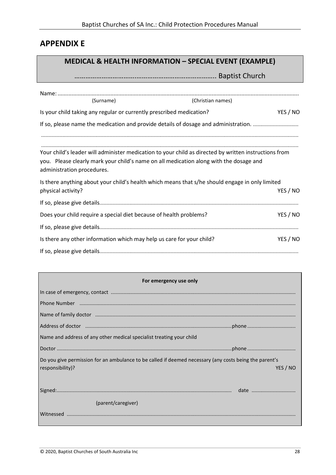## <span id="page-36-0"></span>**APPENDIX E**

Г

## **MEDICAL & HEALTH INFORMATION – SPECIAL EVENT (EXAMPLE)**

## …………………………….…………………………………….. Baptist Church

| (Surname)                                                                                                            | (Christian names) |          |
|----------------------------------------------------------------------------------------------------------------------|-------------------|----------|
| Is your child taking any regular or currently prescribed medication?                                                 |                   | YES / NO |
|                                                                                                                      |                   |          |
| Your child's leader will administer medication to your child as directed by written instructions from                |                   |          |
| you. Please clearly mark your child's name on all medication along with the dosage and<br>administration procedures. |                   |          |
| Is there anything about your child's health which means that s/he should engage in only limited                      |                   |          |
| physical activity?                                                                                                   |                   | YES / NO |
|                                                                                                                      |                   |          |
| Does your child require a special diet because of health problems?                                                   |                   | YES / NO |
|                                                                                                                      |                   |          |
| Is there any other information which may help us care for your child?                                                |                   | YES / NO |
|                                                                                                                      |                   |          |

| For emergency use only                                                                                                                                                                                                         |
|--------------------------------------------------------------------------------------------------------------------------------------------------------------------------------------------------------------------------------|
|                                                                                                                                                                                                                                |
|                                                                                                                                                                                                                                |
| Name of family doctor manufactured and an international control of the state of family doctor manufactured and                                                                                                                 |
| Address of doctor manufactured and content to the content of the content of the content of the content of the content of the content of the content of the content of the content of the content of the content of the content |
| Name and address of any other medical specialist treating your child                                                                                                                                                           |
|                                                                                                                                                                                                                                |
| Do you give permission for an ambulance to be called if deemed necessary (any costs being the parent's<br>responsibility)?<br>YES / NO                                                                                         |
|                                                                                                                                                                                                                                |
| (parent/caregiver)                                                                                                                                                                                                             |
|                                                                                                                                                                                                                                |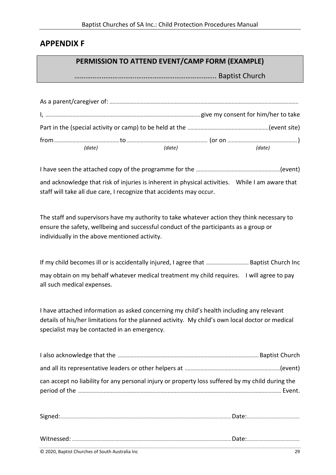## <span id="page-37-0"></span>**APPENDIX F**

#### **PERMISSION TO ATTEND EVENT/CAMP FORM (EXAMPLE)**

…………………………….…………………………………….. Baptist Church

| (date) | (date) | (date) |
|--------|--------|--------|

I have seen the attached copy of the programme for the ...........................................................(event) and acknowledge that risk of injuries is inherent in physical activities. While I am aware that staff will take all due care, I recognize that accidents may occur.

The staff and supervisors have my authority to take whatever action they think necessary to ensure the safety, wellbeing and successful conduct of the participants as a group or individually in the above mentioned activity.

If my child becomes ill or is accidentally injured, I agree that .............................. Baptist Church Inc may obtain on my behalf whatever medical treatment my child requires. I will agree to pay all such medical expenses.

I have attached information as asked concerning my child's health including any relevant details of his/her limitations for the planned activity. My child's own local doctor or medical specialist may be contacted in an emergency.

| can accept no liability for any personal injury or property loss suffered by my child during the |  |
|--------------------------------------------------------------------------------------------------|--|
|                                                                                                  |  |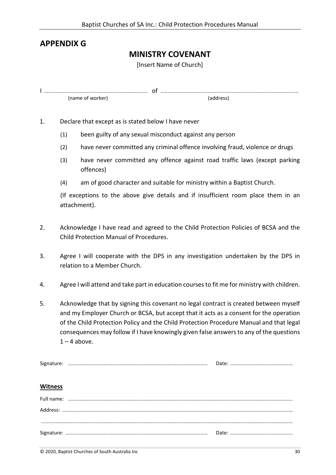## <span id="page-38-0"></span>**APPENDIX G**

#### **MINISTRY COVENANT**

[Insert Name of Church]

|                  | υı |
|------------------|----|
| (name of worker) |    |

- 1. Declare that except as is stated below I have never
	- (1) been guilty of any sexual misconduct against any person
	- (2) have never committed any criminal offence involving fraud, violence or drugs
	- (3) have never committed any offence against road traffic laws (except parking offences)
	- (4) am of good character and suitable for ministry within a Baptist Church.

(If exceptions to the above give details and if insufficient room place them in an attachment).

- 2. Acknowledge I have read and agreed to the Child Protection Policies of BCSA and the Child Protection Manual of Procedures.
- 3. Agree I will cooperate with the DPS in any investigation undertaken by the DPS in relation to a Member Church.
- 4. Agree I will attend and take part in education courses to fit me for ministry with children.
- 5. Acknowledge that by signing this covenant no legal contract is created between myself and my Employer Church or BCSA, but accept that it acts as a consent for the operation of the Child Protection Policy and the Child Protection Procedure Manual and that legal consequences may follow if I have knowingly given false answers to any of the questions  $1 - 4$  above.

| <b>Witness</b> |  |
|----------------|--|
|                |  |
|                |  |
|                |  |
|                |  |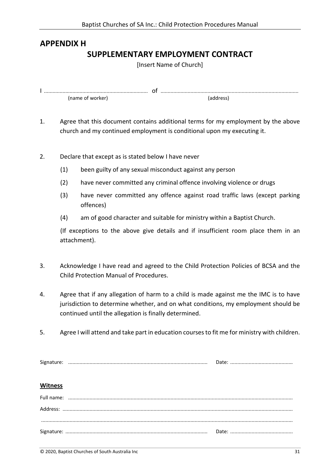## <span id="page-39-0"></span>**APPENDIX H SUPPLEMENTARY EMPLOYMENT CONTRACT**

[Insert Name of Church]

|                  | . UI |
|------------------|------|
| tname of worker) |      |

- 1. Agree that this document contains additional terms for my employment by the above church and my continued employment is conditional upon my executing it.
- 2. Declare that except as is stated below I have never
	- (1) been guilty of any sexual misconduct against any person
	- (2) have never committed any criminal offence involving violence or drugs
	- (3) have never committed any offence against road traffic laws (except parking offences)
	- (4) am of good character and suitable for ministry within a Baptist Church.

(If exceptions to the above give details and if insufficient room place them in an attachment).

- 3. Acknowledge I have read and agreed to the Child Protection Policies of BCSA and the Child Protection Manual of Procedures.
- 4. Agree that if any allegation of harm to a child is made against me the IMC is to have jurisdiction to determine whether, and on what conditions, my employment should be continued until the allegation is finally determined.
- 5. Agree I will attend and take part in education courses to fit me for ministry with children.

| <b>Witness</b> |  |
|----------------|--|
|                |  |
|                |  |
|                |  |
|                |  |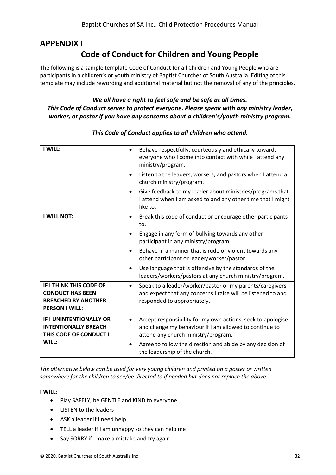## <span id="page-40-0"></span>**APPENDIX I Code of Conduct for Children and Young People**

The following is a sample template Code of Conduct for all Children and Young People who are participants in a children's or youth ministry of Baptist Churches of South Australia. Editing of this template may include rewording and additional material but not the removal of any of the principles.

#### *We all have a right to feel safe and be safe at all times. This Code of Conduct serves to protect everyone. Please speak with any ministry leader, worker, or pastor if you have any concerns about a children's/youth ministry program.*

| I WILL:                                                                                                   | Behave respectfully, courteously and ethically towards<br>$\bullet$<br>everyone who I come into contact with while I attend any<br>ministry/program.         |
|-----------------------------------------------------------------------------------------------------------|--------------------------------------------------------------------------------------------------------------------------------------------------------------|
|                                                                                                           | Listen to the leaders, workers, and pastors when I attend a<br>church ministry/program.                                                                      |
|                                                                                                           | Give feedback to my leader about ministries/programs that<br>I attend when I am asked to and any other time that I might<br>like to.                         |
| <b>I WILL NOT:</b>                                                                                        | Break this code of conduct or encourage other participants<br>$\bullet$<br>to.                                                                               |
|                                                                                                           | Engage in any form of bullying towards any other<br>participant in any ministry/program.                                                                     |
|                                                                                                           | Behave in a manner that is rude or violent towards any<br>other participant or leader/worker/pastor.                                                         |
|                                                                                                           | Use language that is offensive by the standards of the<br>$\bullet$<br>leaders/workers/pastors at any church ministry/program.                               |
| IF I THINK THIS CODE OF<br><b>CONDUCT HAS BEEN</b><br><b>BREACHED BY ANOTHER</b><br><b>PERSON I WILL:</b> | Speak to a leader/worker/pastor or my parents/caregivers<br>and expect that any concerns I raise will be listened to and<br>responded to appropriately.      |
| <b>IF I UNINTENTIONALLY OR</b><br><b>INTENTIONALLY BREACH</b><br>THIS CODE OF CONDUCT I                   | Accept responsibility for my own actions, seek to apologise<br>and change my behaviour if I am allowed to continue to<br>attend any church ministry/program. |
| WILL:                                                                                                     | Agree to follow the direction and abide by any decision of<br>the leadership of the church.                                                                  |

#### *This Code of Conduct applies to all children who attend.*

*The alternative below can be used for very young children and printed on a poster or written somewhere for the children to see/be directed to if needed but does not replace the above.*

#### **I WILL:**

- Play SAFELY, be GENTLE and KIND to everyone
- LISTEN to the leaders
- ASK a leader if I need help
- TELL a leader if I am unhappy so they can help me
- Say SORRY if I make a mistake and try again